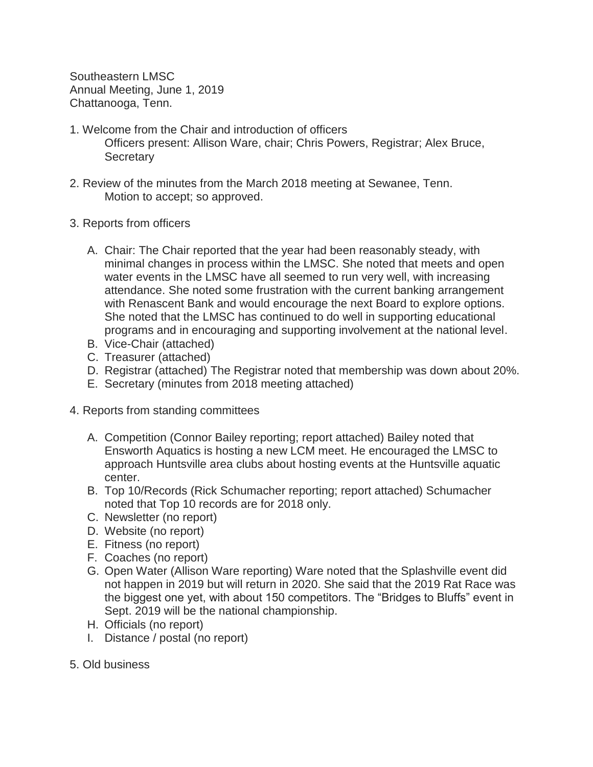Southeastern LMSC Annual Meeting, June 1, 2019 Chattanooga, Tenn.

- 1. Welcome from the Chair and introduction of officers Officers present: Allison Ware, chair; Chris Powers, Registrar; Alex Bruce, **Secretary**
- 2. Review of the minutes from the March 2018 meeting at Sewanee, Tenn. Motion to accept; so approved.
- 3. Reports from officers
	- A. Chair: The Chair reported that the year had been reasonably steady, with minimal changes in process within the LMSC. She noted that meets and open water events in the LMSC have all seemed to run very well, with increasing attendance. She noted some frustration with the current banking arrangement with Renascent Bank and would encourage the next Board to explore options. She noted that the LMSC has continued to do well in supporting educational programs and in encouraging and supporting involvement at the national level.
	- B. Vice-Chair (attached)
	- C. Treasurer (attached)
	- D. Registrar (attached) The Registrar noted that membership was down about 20%.
	- E. Secretary (minutes from 2018 meeting attached)
- 4. Reports from standing committees
	- A. Competition (Connor Bailey reporting; report attached) Bailey noted that Ensworth Aquatics is hosting a new LCM meet. He encouraged the LMSC to approach Huntsville area clubs about hosting events at the Huntsville aquatic center.
	- B. Top 10/Records (Rick Schumacher reporting; report attached) Schumacher noted that Top 10 records are for 2018 only.
	- C. Newsletter (no report)
	- D. Website (no report)
	- E. Fitness (no report)
	- F. Coaches (no report)
	- G. Open Water (Allison Ware reporting) Ware noted that the Splashville event did not happen in 2019 but will return in 2020. She said that the 2019 Rat Race was the biggest one yet, with about 150 competitors. The "Bridges to Bluffs" event in Sept. 2019 will be the national championship.
	- H. Officials (no report)
	- I. Distance / postal (no report)
- 5. Old business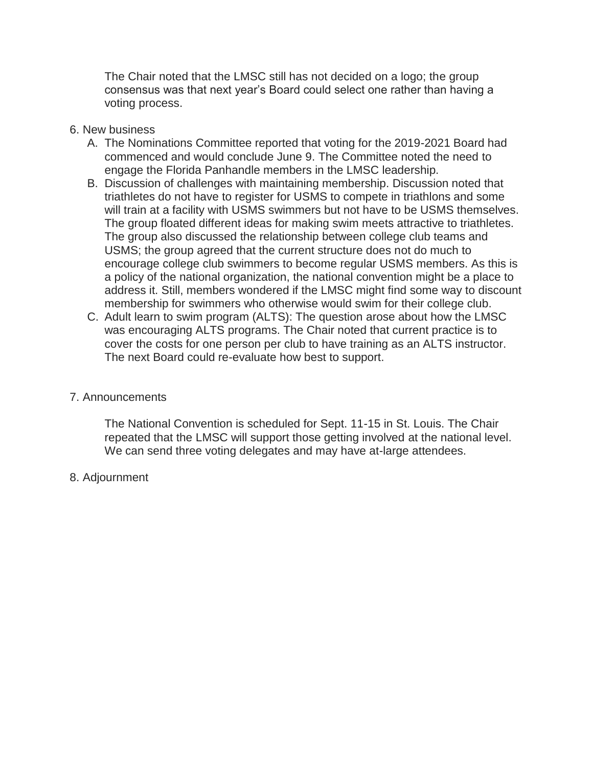The Chair noted that the LMSC still has not decided on a logo; the group consensus was that next year's Board could select one rather than having a voting process.

- 6. New business
	- A. The Nominations Committee reported that voting for the 2019-2021 Board had commenced and would conclude June 9. The Committee noted the need to engage the Florida Panhandle members in the LMSC leadership.
	- B. Discussion of challenges with maintaining membership. Discussion noted that triathletes do not have to register for USMS to compete in triathlons and some will train at a facility with USMS swimmers but not have to be USMS themselves. The group floated different ideas for making swim meets attractive to triathletes. The group also discussed the relationship between college club teams and USMS; the group agreed that the current structure does not do much to encourage college club swimmers to become regular USMS members. As this is a policy of the national organization, the national convention might be a place to address it. Still, members wondered if the LMSC might find some way to discount membership for swimmers who otherwise would swim for their college club.
	- C. Adult learn to swim program (ALTS): The question arose about how the LMSC was encouraging ALTS programs. The Chair noted that current practice is to cover the costs for one person per club to have training as an ALTS instructor. The next Board could re-evaluate how best to support.

## 7. Announcements

The National Convention is scheduled for Sept. 11-15 in St. Louis. The Chair repeated that the LMSC will support those getting involved at the national level. We can send three voting delegates and may have at-large attendees.

8. Adjournment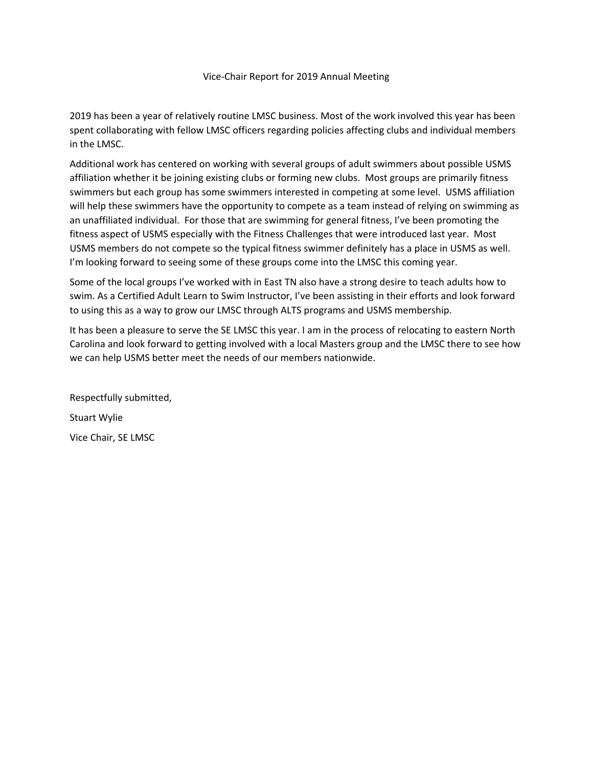#### Vice‐Chair Report for 2019 Annual Meeting

2019 has been a year of relatively routine LMSC business. Most of the work involved this year has been spent collaborating with fellow LMSC officers regarding policies affecting clubs and individual members in the LMSC.

Additional work has centered on working with several groups of adult swimmers about possible USMS affiliation whether it be joining existing clubs or forming new clubs. Most groups are primarily fitness swimmers but each group has some swimmers interested in competing at some level. USMS affiliation will help these swimmers have the opportunity to compete as a team instead of relying on swimming as an unaffiliated individual. For those that are swimming for general fitness, I've been promoting the fitness aspect of USMS especially with the Fitness Challenges that were introduced last year. Most USMS members do not compete so the typical fitness swimmer definitely has a place in USMS as well. I'm looking forward to seeing some of these groups come into the LMSC this coming year.

Some of the local groups I've worked with in East TN also have a strong desire to teach adults how to swim. As a Certified Adult Learn to Swim Instructor, I've been assisting in their efforts and look forward to using this as a way to grow our LMSC through ALTS programs and USMS membership.

It has been a pleasure to serve the SE LMSC this year. I am in the process of relocating to eastern North Carolina and look forward to getting involved with a local Masters group and the LMSC there to see how we can help USMS better meet the needs of our members nationwide.

Respectfully submitted, Stuart Wylie Vice Chair, SE LMSC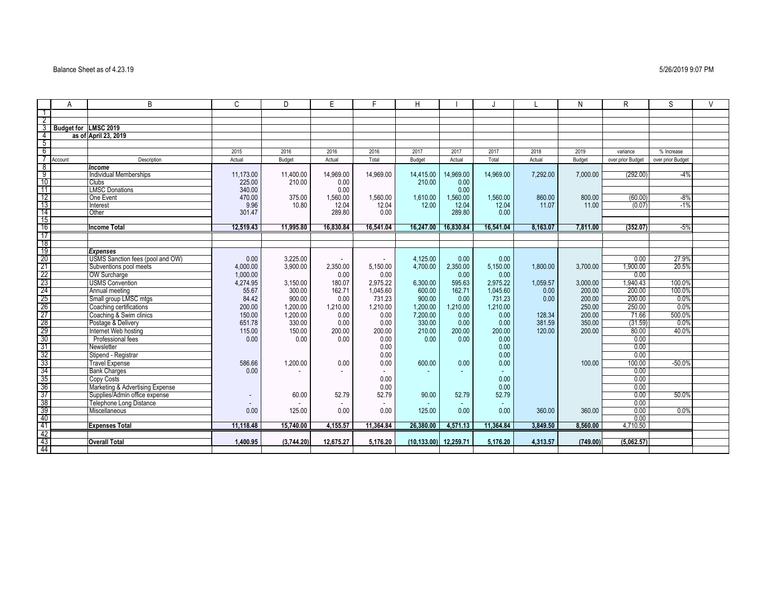#### Balance Sheet as of 4.23.19 5/26/2019 9:07 PM

|                                    | A                    | B                                | $\mathsf{C}$ | D          | E.        | F         | H           |           |           |          | N        | R                 | S                 | $\vee$ |
|------------------------------------|----------------------|----------------------------------|--------------|------------|-----------|-----------|-------------|-----------|-----------|----------|----------|-------------------|-------------------|--------|
|                                    |                      |                                  |              |            |           |           |             |           |           |          |          |                   |                   |        |
| $\overline{2}$                     |                      |                                  |              |            |           |           |             |           |           |          |          |                   |                   |        |
| 3                                  | Budget for LMSC 2019 |                                  |              |            |           |           |             |           |           |          |          |                   |                   |        |
| $\overline{4}$                     |                      | as of April 23, 2019             |              |            |           |           |             |           |           |          |          |                   |                   |        |
| $5\overline{}$                     |                      |                                  |              |            |           |           |             |           |           |          |          |                   |                   |        |
| 6                                  |                      |                                  | 2015         | 2016       | 2016      | 2016      | 2017        | 2017      | 2017      | 2018     | 2019     | variance          | % Increase        |        |
|                                    | Account              | Description                      | Actual       | Budget     | Actual    | Total     | Budget      | Actual    | Total     | Actual   | Budget   | over prior Budget | over prior Budget |        |
| $\frac{8}{9}$                      |                      | Income                           |              |            |           |           |             |           |           |          |          |                   |                   |        |
|                                    |                      | <b>Individual Memberships</b>    | 11,173.00    | 11,400.00  | 14,969.00 | 14,969.00 | 14,415.00   | 14,969.00 | 14,969.00 | 7,292.00 | 7,000.00 | (292.00)          | $-4%$             |        |
| 10                                 |                      | Clubs                            | 225.00       | 210.00     | 0.00      |           | 210.00      | 0.00      |           |          |          |                   |                   |        |
| $\overline{11}$                    |                      | <b>LMSC Donations</b>            | 340.00       |            | 0.00      |           |             | 0.00      |           |          |          |                   |                   |        |
| $\frac{12}{13}$                    |                      | One Event                        | 470.00       | 375.00     | 1,560.00  | 1,560.00  | 1,610.00    | 1,560.00  | 1,560.00  | 860.00   | 800.00   | (60.00)           | $-8%$             |        |
|                                    |                      | Interest                         | 9.96         | 10.80      | 12.04     | 12.04     | 12.00       | 12.04     | 12.04     | 11.07    | 11.00    | (0.07)            | $-1%$             |        |
| $\frac{11}{14}$                    |                      | Other                            | 301.47       |            | 289.80    | 0.00      |             | 289.80    | 0.00      |          |          |                   |                   |        |
| $\overline{15}$                    |                      |                                  |              |            |           |           |             |           |           |          |          |                   |                   |        |
| $\overline{16}$                    |                      | <b>Income Total</b>              | 12,519.43    | 11,995.80  | 16,830.84 | 16,541.04 | 16,247.00   | 16,830.84 | 16,541.04 | 8,163.07 | 7.811.00 | (352.07)          | $-5%$             |        |
| 17                                 |                      |                                  |              |            |           |           |             |           |           |          |          |                   |                   |        |
| <u>18</u>                          |                      |                                  |              |            |           |           |             |           |           |          |          |                   |                   |        |
| $\frac{19}{20}$                    |                      | <b>Expenses</b>                  |              |            |           |           |             |           |           |          |          |                   |                   |        |
|                                    |                      | USMS Sanction fees (pool and OW) | 0.00         | 3,225.00   | $\sim$    |           | 4,125.00    | 0.00      | 0.00      |          |          | 0.00              | 27.9%             |        |
| 21                                 |                      | Subventions pool meets           | 4,000.00     | 3.900.00   | 2,350.00  | 5.150.00  | 4,700.00    | 2.350.00  | 5,150.00  | 1.800.00 | 3,700.00 | 1,900.00          | 20.5%             |        |
| $\frac{22}{23}$                    |                      | <b>OW Surcharge</b>              | 1,000.00     |            | 0.00      | 0.00      |             | 0.00      | 0.00      |          |          | 0.00              |                   |        |
|                                    |                      | <b>USMS</b> Convention           | 4,274.95     | 3.150.00   | 180.07    | 2,975.22  | 6,300.00    | 595.63    | 2.975.22  | 1,059.57 | 3.000.00 | 1,940.43          | 100.0%            |        |
|                                    |                      | Annual meeting                   | 55.67        | 300.00     | 162.71    | 1,045.60  | 600.00      | 162.71    | 1,045.60  | 0.00     | 200.00   | 200.00            | 100.0%            |        |
| $\frac{24}{25}$<br>$\frac{25}{27}$ |                      | Small group LMSC mtgs            | 84.42        | 900.00     | 0.00      | 731.23    | 900.00      | 0.00      | 731.23    | 0.00     | 200.00   | 200.00            | 0.0%              |        |
|                                    |                      | Coaching certifications          | 200.00       | 1.200.00   | 1,210.00  | 1.210.00  | 1,200.00    | 1.210.00  | 1.210.00  |          | 250.00   | 250.00            | $0.0\%$           |        |
|                                    |                      | Coaching & Swim clinics          | 150.00       | 1,200.00   | 0.00      | 0.00      | 7,200.00    | 0.00      | 0.00      | 128.34   | 200.00   | 71.66             | 500.0%            |        |
|                                    |                      | Postage & Delivery               | 651.78       | 330.00     | 0.00      | 0.00      | 330.00      | 0.00      | 0.00      | 381.59   | 350.00   | (31.59)           | 0.0%              |        |
|                                    |                      | Internet Web hosting             | 115.00       | 150.00     | 200.00    | 200.00    | 210.00      | 200.00    | 200.00    | 120.00   | 200.00   | 80.00             | 40.0%             |        |
|                                    |                      | Professional fees                | 0.00         | 0.00       | 0.00      | 0.00      | 0.00        | 0.00      | 0.00      |          |          | 0.00              |                   |        |
|                                    |                      | Newsletter                       |              |            |           | 0.00      |             |           | 0.00      |          |          | 0.00              |                   |        |
|                                    |                      | Stipend - Registrar              |              |            |           | 0.00      |             |           | 0.00      |          |          | 0.00              |                   |        |
| 32<br>33<br>35<br>37<br>37         |                      | <b>Travel Expense</b>            | 586.66       | 1,200.00   | 0.00      | 0.00      | 600.00      | 0.00      | 0.00      |          | 100.00   | 100.00            | $-50.0%$          |        |
|                                    |                      | <b>Bank Charges</b>              | 0.00         |            |           |           |             | ٠         |           |          |          | 0.00              |                   |        |
|                                    |                      | Copy Costs                       |              |            |           | 0.00      |             |           | 0.00      |          |          | 0.00              |                   |        |
|                                    |                      | Marketing & Advertising Expense  |              |            |           | 0.00      |             |           | 0.00      |          |          | 0.00              |                   |        |
|                                    |                      | Supplies/Admin office expense    |              | 60.00      | 52.79     | 52.79     | 90.00       | 52.79     | 52.79     |          |          | 0.00              | 50.0%             |        |
|                                    |                      | <b>Telephone Long Distance</b>   |              |            |           |           |             | ٠         | ٠         |          |          | 0.00              |                   |        |
| i<br>Saa<br>Saa                    |                      | Miscellaneous                    | 0.00         | 125.00     | 0.00      | 0.00      | 125.00      | 0.00      | 0.00      | 360.00   | 360.00   | 0.00              | 0.0%              |        |
|                                    |                      |                                  |              |            |           |           |             |           |           |          |          | 0.00              |                   |        |
|                                    |                      | <b>Expenses Total</b>            | 11,118.48    | 15,740.00  | 4,155.57  | 11,364.84 | 26,380.00   | 4,571.13  | 11,364.84 | 3,849.50 | 8,560.00 | 4,710.50          |                   |        |
| 42                                 |                      |                                  |              |            |           |           |             |           |           |          |          |                   |                   |        |
| 43                                 |                      | <b>Overall Total</b>             | 1.400.95     | (3,744.20) | 12,675.27 | 5.176.20  | (10.133.00) | 12.259.71 | 5.176.20  | 4,313.57 | (749.00) | (5,062.57)        |                   |        |
| -44                                |                      |                                  |              |            |           |           |             |           |           |          |          |                   |                   |        |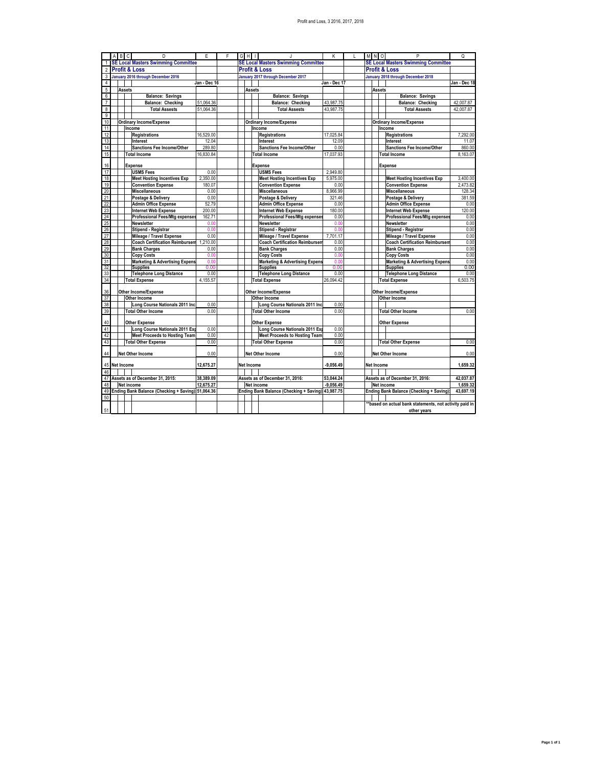|                         |  | A B C         | D                                                              | E                | F | $G$ H $\perp$     |                                                                | К            |            | M N O             |               |  | P                                                              | Q            |
|-------------------------|--|---------------|----------------------------------------------------------------|------------------|---|-------------------|----------------------------------------------------------------|--------------|------------|-------------------|---------------|--|----------------------------------------------------------------|--------------|
| 1                       |  |               | <b>SE Local Masters Swimming Committee</b>                     |                  |   |                   | <b>SE Local Masters Swimming Committee</b>                     |              |            |                   |               |  | <b>SE Local Masters Swimming Committee</b>                     |              |
| $\overline{2}$          |  |               | <b>Profit &amp; Loss</b>                                       |                  |   |                   | <b>Profit &amp; Loss</b>                                       |              |            |                   |               |  | <b>Profit &amp; Loss</b>                                       |              |
| 3                       |  |               | January 2016 through December 2016                             |                  |   |                   | January 2017 through December 2017                             |              |            |                   |               |  | January 2018 through December 2018                             |              |
| 4                       |  |               |                                                                | Jan - Dec 16     |   |                   |                                                                | Jan - Dec 17 |            |                   |               |  |                                                                | Jan - Dec 18 |
| $\sqrt{5}$              |  | <b>Assets</b> |                                                                |                  |   | <b>Assets</b>     |                                                                |              |            |                   | <b>Assets</b> |  |                                                                |              |
| 6                       |  |               | <b>Balance: Savings</b>                                        |                  |   |                   | <b>Balance: Savings</b>                                        |              |            |                   |               |  | <b>Balance: Savings</b>                                        |              |
| 7                       |  |               | <b>Balance: Checking</b>                                       | 51.064.36        |   |                   | <b>Balance: Checking</b>                                       | 43.987.75    |            |                   |               |  | Balance: Checking                                              | 42.007.87    |
| $\overline{\mathbf{8}}$ |  |               | <b>Total Assests</b>                                           | 51,064.36        |   |                   | <b>Total Assests</b>                                           | 43,987.75    |            |                   |               |  | <b>Total Assests</b>                                           | 42,007.87    |
| $\overline{9}$          |  |               |                                                                |                  |   |                   |                                                                |              |            |                   |               |  |                                                                |              |
| 10                      |  |               | <b>Ordinary Income/Expense</b>                                 |                  |   |                   | <b>Ordinary Income/Expense</b>                                 |              |            |                   |               |  | <b>Ordinary Income/Expense</b>                                 |              |
| 11                      |  |               | Income                                                         |                  |   |                   | Income                                                         |              |            |                   |               |  | Income                                                         |              |
| 12                      |  |               | <b>Registrations</b>                                           | 16,529.00        |   |                   | <b>Registrations</b>                                           | 17,025.84    |            |                   |               |  | <b>Registrations</b>                                           | 7,292.00     |
| 13                      |  |               | Interest                                                       | 12.04            |   |                   | Interest                                                       | 12.09        |            |                   |               |  | Interest                                                       | 11.07        |
| 14                      |  |               | Sanctions Fee Income/Other                                     | 289.80           |   |                   | Sanctions Fee Income/Other                                     | 0.00         |            |                   |               |  | <b>Sanctions Fee Income/Other</b>                              | 860.00       |
| 15                      |  |               | <b>Total Income</b>                                            | 16,830.84        |   |                   | <b>Total Income</b>                                            | 17,037.93    |            |                   |               |  | <b>Total Income</b>                                            | 8,163.07     |
|                         |  |               |                                                                |                  |   |                   |                                                                |              |            |                   |               |  |                                                                |              |
| 16                      |  |               | <b>Expense</b>                                                 |                  |   |                   | <b>Expense</b>                                                 |              |            |                   |               |  | <b>Expense</b>                                                 |              |
| 17                      |  |               | <b>USMS Fees</b>                                               | 0.00             |   |                   | <b>USMS</b> Fees                                               | 2,949.80     |            |                   |               |  |                                                                |              |
| 18                      |  |               | <b>Meet Hosting Incentives Exp</b>                             | 2,350.00         |   |                   | <b>Meet Hosting Incentives Exp</b>                             | 5,975.00     |            |                   |               |  | <b>Meet Hosting Incentives Exp</b>                             | 3,400.00     |
| 19                      |  |               | <b>Convention Expense</b>                                      | 180.07           |   |                   | <b>Convention Expense</b>                                      | 0.00         |            |                   |               |  | <b>Convention Expense</b>                                      | 2.473.82     |
| 20                      |  |               | <b>Miscellaneous</b>                                           | 0.00             |   |                   | <b>Miscellaneous</b>                                           | 8,966.99     |            |                   |               |  | <b>Miscellaneous</b>                                           | 128.34       |
| 21                      |  |               | Postage & Delivery                                             | 0.00             |   |                   | Postage & Delivery                                             | 321.46       |            |                   |               |  | Postage & Delivery                                             | 381.59       |
| 22                      |  |               | <b>Admin Office Expense</b>                                    | 52.79            |   |                   | <b>Admin Office Expense</b>                                    | 0.00         |            |                   |               |  | <b>Admin Office Expense</b>                                    | 0.00         |
| 23                      |  |               | <b>Internet Web Expense</b>                                    | 200.00           |   |                   | <b>Internet Web Expense</b>                                    | 180.00       |            |                   |               |  | <b>Internet Web Expense</b>                                    | 120.00       |
| 24                      |  |               | <b>Professional Fees/Mtg expenses</b>                          | 162.71           |   |                   | <b>Professional Fees/Mtg expenses</b>                          | 0.00         |            |                   |               |  | <b>Professional Fees/Mtg expenses</b>                          | 0.00         |
| 25                      |  |               | <b>Newsletter</b>                                              | 0.00             |   |                   | <b>Newsletter</b>                                              | 0.00         |            |                   |               |  | <b>Newsletter</b>                                              | 0.00         |
| 26                      |  |               | Stipend - Registrar                                            | 0.00<br>0.00     |   |                   | Stipend - Registrar                                            | 0.00         |            |                   |               |  | Stipend - Registrar                                            | 0.00         |
| 27<br>28                |  |               | Mileage / Travel Expense                                       |                  |   |                   | Mileage / Travel Expense                                       | 7,701.17     |            |                   |               |  | Mileage / Travel Expense                                       | 0.00         |
|                         |  |               | <b>Coach Certification Reimbursem</b><br><b>Bank Charges</b>   | 1.210.00<br>0.00 |   |                   | <b>Coach Certification Reimbursen</b><br><b>Bank Charges</b>   | 0.00<br>0.00 |            |                   |               |  | <b>Coach Certification Reimbursen</b>                          | 0.00<br>0.00 |
| 29                      |  |               |                                                                | 0.00             |   |                   |                                                                | 0.00         |            |                   |               |  | <b>Bank Charges</b>                                            | 0.00         |
| 30<br>31                |  |               | <b>Copy Costs</b><br><b>Marketing &amp; Advertising Expens</b> | 0.00             |   |                   | <b>Copy Costs</b><br><b>Marketing &amp; Advertising Expens</b> | 0.00         |            |                   |               |  | <b>Copy Costs</b><br><b>Marketing &amp; Advertising Expens</b> | 0.00         |
| -32                     |  |               | <b>Supplies</b>                                                | 0.00             |   |                   | <b>Supplies</b>                                                | 0.00         |            |                   |               |  | <b>Supplies</b>                                                | 0.00         |
| 33                      |  |               | <b>Telephone Long Distance</b>                                 | 0.00             |   |                   | <b>Telephone Long Distance</b>                                 | 0.00         |            |                   |               |  | <b>Telephone Long Distance</b>                                 | 0.00         |
| 34                      |  |               | <b>Total Expense</b>                                           | 4,155.57         |   |                   | <b>Total Expense</b>                                           | 26,094.42    |            |                   |               |  | <b>Total Expense</b>                                           | 6,503.75     |
|                         |  |               |                                                                |                  |   |                   |                                                                |              |            |                   |               |  |                                                                |              |
| 36                      |  |               | Other Income/Expense                                           |                  |   |                   | <b>Other Income/Expense</b>                                    |              |            |                   |               |  | <b>Other Income/Expense</b>                                    |              |
| 37                      |  |               | Other Income                                                   |                  |   |                   | Other Income                                                   |              |            |                   |               |  | Other Income                                                   |              |
| 38                      |  |               | Long Course Nationals 2011 Inc                                 | 0.00             |   |                   | Long Course Nationals 2011 Inc                                 | 0.00         |            |                   |               |  |                                                                |              |
| 39                      |  |               | <b>Total Other Income</b>                                      | 0.00             |   |                   | <b>Total Other Income</b>                                      | 0.00         |            |                   |               |  | <b>Total Other Income</b>                                      | 0.00         |
|                         |  |               |                                                                |                  |   |                   |                                                                |              |            |                   |               |  |                                                                |              |
| 40                      |  |               | <b>Other Expense</b>                                           |                  |   |                   | <b>Other Expense</b>                                           |              |            |                   |               |  | <b>Other Expense</b>                                           |              |
| 41                      |  |               | Long Course Nationals 2011 Ex                                  | 0.00             |   |                   | Long Course Nationals 2011 Exp                                 | 0.00         |            |                   |               |  |                                                                |              |
| 42                      |  |               | <b>Meet Proceeds to Hosting Team</b>                           | 0.00             |   |                   | <b>Meet Proceeds to Hosting Team</b>                           | 0.00         |            |                   |               |  |                                                                |              |
| 43                      |  |               | <b>Total Other Expense</b>                                     | 0.00             |   |                   | <b>Total Other Expense</b>                                     | 0.00         |            |                   |               |  | <b>Total Other Expense</b>                                     | 0.00         |
| 44                      |  |               | <b>Net Other Income</b>                                        | 0.00             |   |                   | <b>Net Other Income</b>                                        | 0.00         |            |                   |               |  | <b>Net Other Income</b>                                        | 0.00         |
|                         |  |               |                                                                |                  |   |                   |                                                                |              |            |                   |               |  |                                                                |              |
| 45                      |  | Net Income    |                                                                | 12,675.27        |   | <b>Net Income</b> |                                                                | $-9,056.49$  |            | <b>Net Income</b> |               |  |                                                                | 1,659.32     |
| 46                      |  |               |                                                                |                  |   |                   |                                                                |              |            |                   |               |  |                                                                |              |
| 47                      |  |               | Assets as of December 31, 2015:                                | 38,389.09        |   |                   | Assets as of December 31, 2016:                                | 53,044.24    |            |                   |               |  | Assets as of December 31, 2016:                                | 42,037.87    |
| 48                      |  |               | Net income                                                     | 12.675.27        |   |                   | Net income                                                     | $-9.056.49$  | Net income |                   |               |  | 1.659.32                                                       |              |
| 49                      |  |               | Ending Bank Balance (Checking + Saving): 51,064.36             |                  |   |                   | Ending Bank Balance (Checking + Saving)                        | 43,987.75    |            |                   |               |  | <b>Ending Bank Balance (Checking + Saving)</b>                 | 43,697.19    |
| 50                      |  |               |                                                                |                  |   |                   |                                                                |              |            |                   |               |  |                                                                |              |
|                         |  |               |                                                                |                  |   |                   |                                                                |              |            |                   |               |  | *based on actual bank statements, not activity paid in         |              |
| 51                      |  |               |                                                                |                  |   |                   |                                                                |              |            |                   |               |  | other years                                                    |              |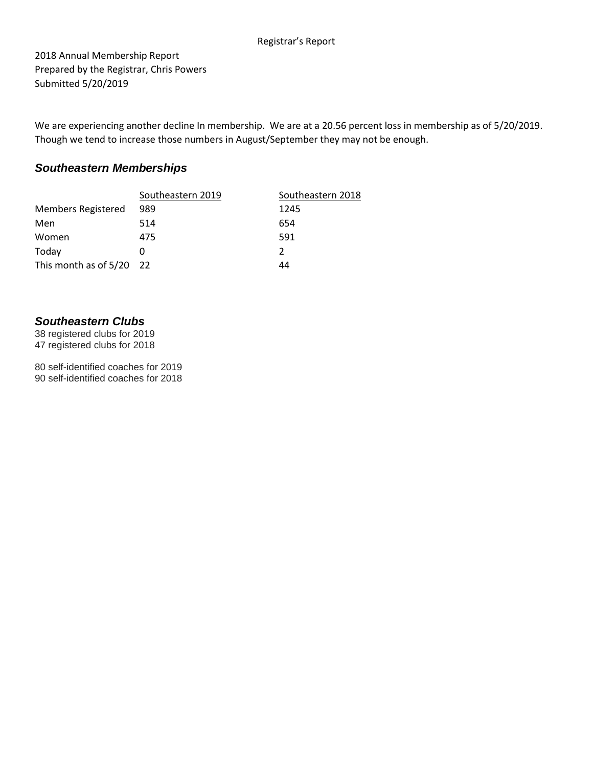### Registrar's Report

2018 Annual Membership Report Prepared by the Registrar, Chris Powers Submitted 5/20/2019

We are experiencing another decline In membership. We are at a 20.56 percent loss in membership as of 5/20/2019. Though we tend to increase those numbers in August/September they may not be enough.

## *Southeastern Memberships*

|                            | Southeastern 2019 | Southeastern 2018 |
|----------------------------|-------------------|-------------------|
| <b>Members Registered</b>  | 989               | 1245              |
| Men                        | 514               | 654               |
| Women                      | 475               | 591               |
| Today                      | O                 | 2                 |
| This month as of $5/20$ 22 |                   | 44                |

## *Southeastern Clubs*

38 registered clubs for 2019 47 registered clubs for 2018

80 self-identified coaches for 2019 90 self-identified coaches for 2018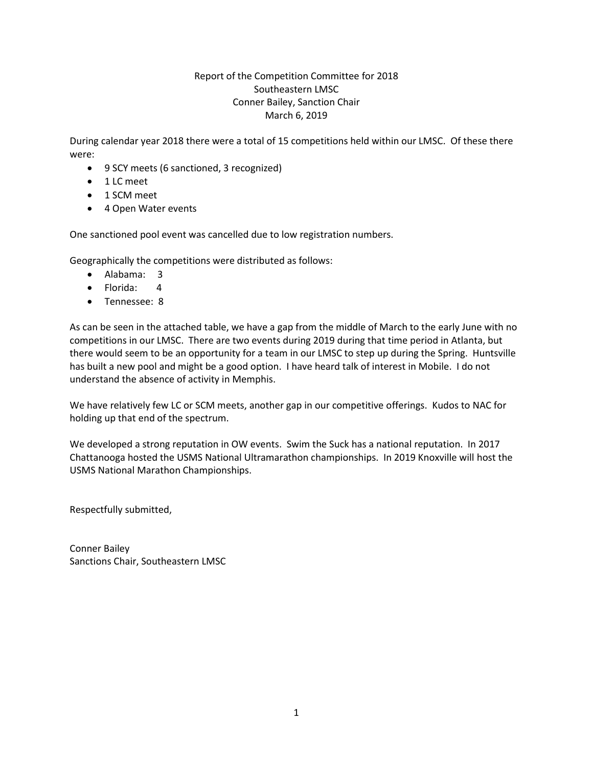## Report of the Competition Committee for 2018 Southeastern LMSC Conner Bailey, Sanction Chair March 6, 2019

During calendar year 2018 there were a total of 15 competitions held within our LMSC. Of these there were:

- 9 SCY meets (6 sanctioned, 3 recognized)
- 1 LC meet
- 1 SCM meet
- 4 Open Water events

One sanctioned pool event was cancelled due to low registration numbers.

Geographically the competitions were distributed as follows:

- Alabama: 3
- Florida: 4
- Tennessee: 8

As can be seen in the attached table, we have a gap from the middle of March to the early June with no competitions in our LMSC. There are two events during 2019 during that time period in Atlanta, but there would seem to be an opportunity for a team in our LMSC to step up during the Spring. Huntsville has built a new pool and might be a good option. I have heard talk of interest in Mobile. I do not understand the absence of activity in Memphis.

We have relatively few LC or SCM meets, another gap in our competitive offerings. Kudos to NAC for holding up that end of the spectrum.

We developed a strong reputation in OW events. Swim the Suck has a national reputation. In 2017 Chattanooga hosted the USMS National Ultramarathon championships. In 2019 Knoxville will host the USMS National Marathon Championships.

Respectfully submitted,

Conner Bailey Sanctions Chair, Southeastern LMSC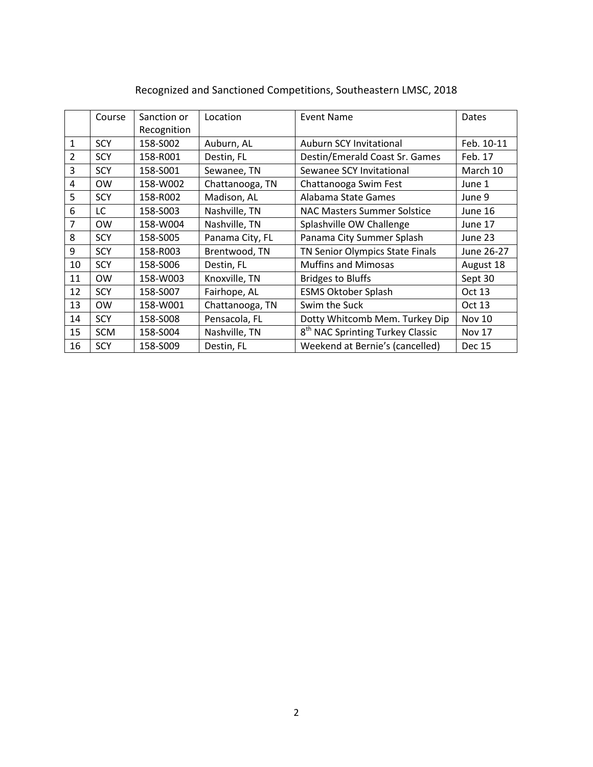|                | Course     | Sanction or | Location        | <b>Event Name</b>                            | Dates         |
|----------------|------------|-------------|-----------------|----------------------------------------------|---------------|
|                |            | Recognition |                 |                                              |               |
| $\mathbf{1}$   | <b>SCY</b> | 158-S002    | Auburn, AL      | <b>Auburn SCY Invitational</b>               | Feb. 10-11    |
| $\overline{2}$ | <b>SCY</b> | 158-R001    | Destin, FL      | Destin/Emerald Coast Sr. Games               | Feb. 17       |
| 3              | <b>SCY</b> | 158-S001    | Sewanee, TN     | Sewanee SCY Invitational                     | March 10      |
| 4              | <b>OW</b>  | 158-W002    | Chattanooga, TN | Chattanooga Swim Fest                        | June 1        |
| 5              | <b>SCY</b> | 158-R002    | Madison, AL     | Alabama State Games                          | June 9        |
| 6              | LC         | 158-S003    | Nashville, TN   | <b>NAC Masters Summer Solstice</b>           | June 16       |
| 7              | <b>OW</b>  | 158-W004    | Nashville, TN   | Splashville OW Challenge                     | June 17       |
| 8              | <b>SCY</b> | 158-S005    | Panama City, FL | Panama City Summer Splash                    | June 23       |
| 9              | <b>SCY</b> | 158-R003    | Brentwood, TN   | TN Senior Olympics State Finals              | June 26-27    |
| 10             | <b>SCY</b> | 158-S006    | Destin, FL      | <b>Muffins and Mimosas</b>                   | August 18     |
| 11             | <b>OW</b>  | 158-W003    | Knoxville, TN   | <b>Bridges to Bluffs</b>                     | Sept 30       |
| 12             | <b>SCY</b> | 158-S007    | Fairhope, AL    | <b>ESMS Oktober Splash</b>                   | Oct 13        |
| 13             | <b>OW</b>  | 158-W001    | Chattanooga, TN | Swim the Suck                                | Oct 13        |
| 14             | <b>SCY</b> | 158-S008    | Pensacola, FL   | Dotty Whitcomb Mem. Turkey Dip               | <b>Nov 10</b> |
| 15             | <b>SCM</b> | 158-S004    | Nashville, TN   | 8 <sup>th</sup> NAC Sprinting Turkey Classic | <b>Nov 17</b> |
| 16             | <b>SCY</b> | 158-S009    | Destin, FL      | Weekend at Bernie's (cancelled)              | Dec 15        |

# Recognized and Sanctioned Competitions, Southeastern LMSC, 2018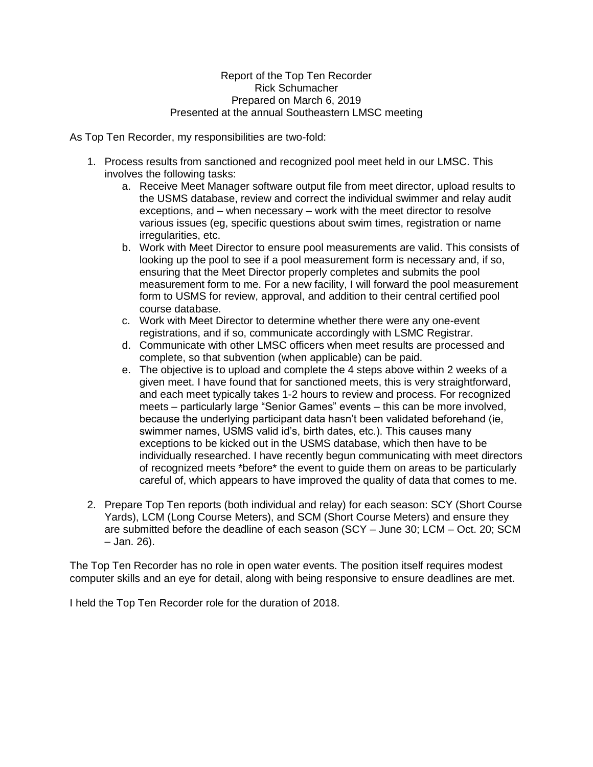## Report of the Top Ten Recorder Rick Schumacher Prepared on March 6, 2019 Presented at the annual Southeastern LMSC meeting

As Top Ten Recorder, my responsibilities are two-fold:

- 1. Process results from sanctioned and recognized pool meet held in our LMSC. This involves the following tasks:
	- a. Receive Meet Manager software output file from meet director, upload results to the USMS database, review and correct the individual swimmer and relay audit exceptions, and – when necessary – work with the meet director to resolve various issues (eg, specific questions about swim times, registration or name irregularities, etc.
	- b. Work with Meet Director to ensure pool measurements are valid. This consists of looking up the pool to see if a pool measurement form is necessary and, if so, ensuring that the Meet Director properly completes and submits the pool measurement form to me. For a new facility, I will forward the pool measurement form to USMS for review, approval, and addition to their central certified pool course database.
	- c. Work with Meet Director to determine whether there were any one-event registrations, and if so, communicate accordingly with LSMC Registrar.
	- d. Communicate with other LMSC officers when meet results are processed and complete, so that subvention (when applicable) can be paid.
	- e. The objective is to upload and complete the 4 steps above within 2 weeks of a given meet. I have found that for sanctioned meets, this is very straightforward, and each meet typically takes 1-2 hours to review and process. For recognized meets – particularly large "Senior Games" events – this can be more involved, because the underlying participant data hasn't been validated beforehand (ie, swimmer names, USMS valid id's, birth dates, etc.). This causes many exceptions to be kicked out in the USMS database, which then have to be individually researched. I have recently begun communicating with meet directors of recognized meets \*before\* the event to guide them on areas to be particularly careful of, which appears to have improved the quality of data that comes to me.
- 2. Prepare Top Ten reports (both individual and relay) for each season: SCY (Short Course Yards), LCM (Long Course Meters), and SCM (Short Course Meters) and ensure they are submitted before the deadline of each season (SCY – June 30; LCM – Oct. 20; SCM – Jan. 26).

The Top Ten Recorder has no role in open water events. The position itself requires modest computer skills and an eye for detail, along with being responsive to ensure deadlines are met.

I held the Top Ten Recorder role for the duration of 2018.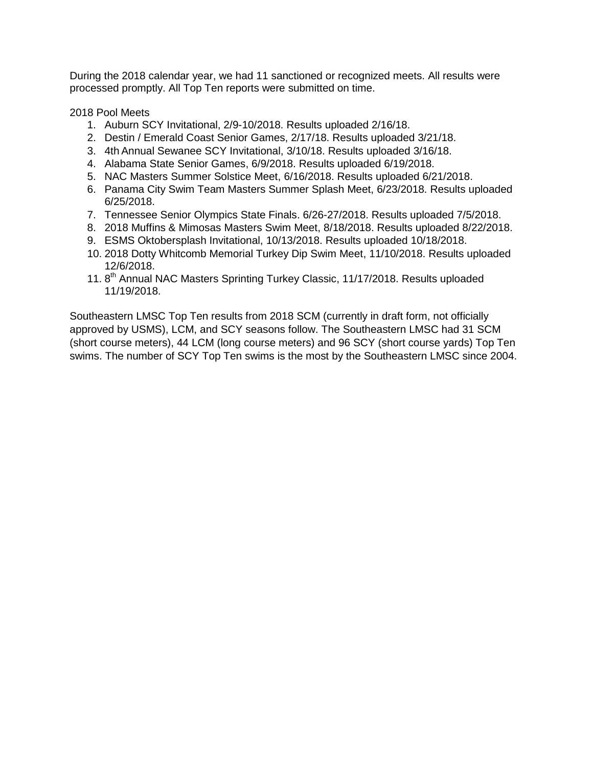During the 2018 calendar year, we had 11 sanctioned or recognized meets. All results were processed promptly. All Top Ten reports were submitted on time.

2018 Pool Meets

- 1. Auburn SCY Invitational, 2/9-10/2018. Results uploaded 2/16/18.
- 2. Destin / Emerald Coast Senior Games, 2/17/18. Results uploaded 3/21/18.
- 3. 4th Annual Sewanee SCY Invitational, 3/10/18. Results uploaded 3/16/18.
- 4. Alabama State Senior Games, 6/9/2018. Results uploaded 6/19/2018.
- 5. NAC Masters Summer Solstice Meet, 6/16/2018. Results uploaded 6/21/2018.
- 6. Panama City Swim Team Masters Summer Splash Meet, 6/23/2018. Results uploaded 6/25/2018.
- 7. Tennessee Senior Olympics State Finals. 6/26-27/2018. Results uploaded 7/5/2018.
- 8. 2018 Muffins & Mimosas Masters Swim Meet, 8/18/2018. Results uploaded 8/22/2018.
- 9. ESMS Oktobersplash Invitational, 10/13/2018. Results uploaded 10/18/2018.
- 10. 2018 Dotty Whitcomb Memorial Turkey Dip Swim Meet, 11/10/2018. Results uploaded 12/6/2018.
- 11. 8<sup>th</sup> Annual NAC Masters Sprinting Turkey Classic, 11/17/2018. Results uploaded 11/19/2018.

Southeastern LMSC Top Ten results from 2018 SCM (currently in draft form, not officially approved by USMS), LCM, and SCY seasons follow. The Southeastern LMSC had 31 SCM (short course meters), 44 LCM (long course meters) and 96 SCY (short course yards) Top Ten swims. The number of SCY Top Ten swims is the most by the Southeastern LMSC since 2004.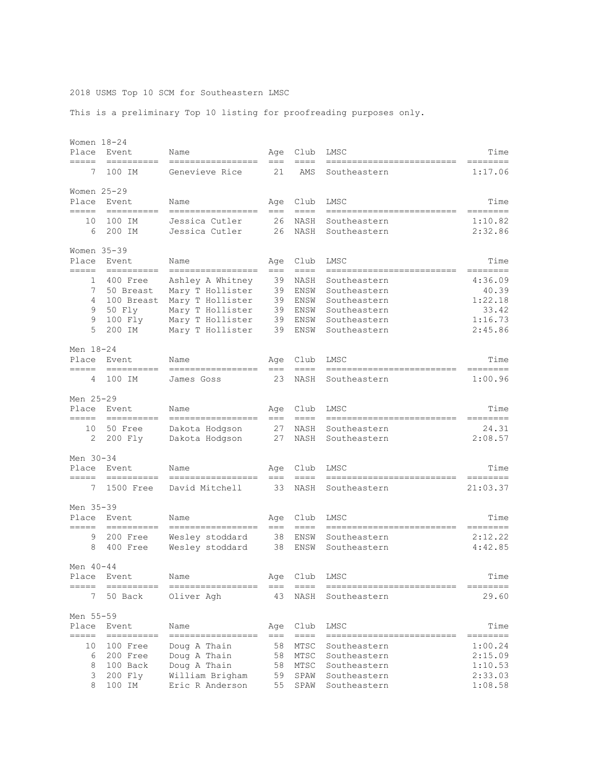#### 2018 USMS Top 10 SCM for Southeastern LMSC

This is a preliminary Top 10 listing for proofreading purposes only.

| Women 18-24<br>Place              | Event                                                                                                                                                                                                                                                                                                                                                                                                                                                                                           | Name                                                                                                                 | Age                              | Club                                         | LMSC                                                                                         | Time                                                       |
|-----------------------------------|-------------------------------------------------------------------------------------------------------------------------------------------------------------------------------------------------------------------------------------------------------------------------------------------------------------------------------------------------------------------------------------------------------------------------------------------------------------------------------------------------|----------------------------------------------------------------------------------------------------------------------|----------------------------------|----------------------------------------------|----------------------------------------------------------------------------------------------|------------------------------------------------------------|
| =====<br>7                        | $=$ ==========<br>100 IM                                                                                                                                                                                                                                                                                                                                                                                                                                                                        | =================<br>Genevieve Rice                                                                                  | $==$<br>21                       | $== ==$<br>AMS                               | --------------------------<br>Southeastern                                                   | --------<br>1:17.06                                        |
| Women $25 - 29$<br>Place<br>===== | Event<br>==========                                                                                                                                                                                                                                                                                                                                                                                                                                                                             | Name<br>=================                                                                                            | Age<br>$==$                      | Club<br>$==-=$                               | LMSC<br>=========================                                                            | Time<br>========                                           |
| 10<br>6                           | 100 IM<br>200 IM                                                                                                                                                                                                                                                                                                                                                                                                                                                                                | Jessica Cutler<br>Jessica Cutler                                                                                     | 26<br>26                         | NASH<br>NASH                                 | Southeastern<br>Southeastern                                                                 | 1:10.82<br>2:32.86                                         |
| Women $35-39$<br>Place<br>=====   | Event<br>$=$ = = = = = = = = =                                                                                                                                                                                                                                                                                                                                                                                                                                                                  | Name<br>=================                                                                                            | Age<br>$== =$                    | Club<br>$==-=$                               | LMSC                                                                                         | Time<br>========                                           |
| 1<br>7<br>4<br>9<br>9<br>5        | 400 Free<br>50 Breast<br>100 Breast<br>50 Fly<br>100 Fly<br>200 IM                                                                                                                                                                                                                                                                                                                                                                                                                              | Ashley A Whitney<br>Mary T Hollister<br>Mary T Hollister<br>Mary T Hollister<br>Mary T Hollister<br>Mary T Hollister | 39<br>39<br>39<br>39<br>39<br>39 | NASH<br>ENSW<br>ENSW<br>ENSW<br>ENSW<br>ENSW | Southeastern<br>Southeastern<br>Southeastern<br>Southeastern<br>Southeastern<br>Southeastern | 4:36.09<br>40.39<br>1:22.18<br>33.42<br>1:16.73<br>2:45.86 |
| Men 18-24<br>Place                | Event                                                                                                                                                                                                                                                                                                                                                                                                                                                                                           | Name                                                                                                                 | Age                              | Club                                         | LMSC                                                                                         | Time                                                       |
| =====<br>4                        | 100 IM                                                                                                                                                                                                                                                                                                                                                                                                                                                                                          | -----------------<br>James Goss                                                                                      | $==$<br>23                       | $=$ $=$ $=$<br>NASH                          | ------------<br>Southeastern                                                                 | ========<br>1:00.96                                        |
| Men 25-29<br>Place<br>=====       | Event<br>$\begin{array}{cccccccccc} \multicolumn{2}{c}{} & \multicolumn{2}{c}{} & \multicolumn{2}{c}{} & \multicolumn{2}{c}{} & \multicolumn{2}{c}{} & \multicolumn{2}{c}{} & \multicolumn{2}{c}{} & \multicolumn{2}{c}{} & \multicolumn{2}{c}{} & \multicolumn{2}{c}{} & \multicolumn{2}{c}{} & \multicolumn{2}{c}{} & \multicolumn{2}{c}{} & \multicolumn{2}{c}{} & \multicolumn{2}{c}{} & \multicolumn{2}{c}{} & \multicolumn{2}{c}{} & \multicolumn{2}{c}{} & \multicolumn{2}{c}{} & \mult$ | Name<br>-----------------                                                                                            | Age<br>$==$                      | Club<br>$=$ $=$ $=$                          | LMSC                                                                                         | Time                                                       |
| 10<br>2                           | 50 Free<br>200 Fly                                                                                                                                                                                                                                                                                                                                                                                                                                                                              | Dakota Hodgson<br>Dakota Hodgson                                                                                     | 27<br>27                         | NASH<br>NASH                                 | Southeastern<br>Southeastern                                                                 | 24.31<br>2:08.57                                           |
| Men 30-34<br>Place<br>=====       | Event<br>$=$ =========                                                                                                                                                                                                                                                                                                                                                                                                                                                                          | Name<br>=================                                                                                            | Aqe<br>$===$                     | Club<br>$== == =$                            | LMSC<br>--------------------------                                                           | Time<br>========                                           |
| 7                                 | 1500 Free                                                                                                                                                                                                                                                                                                                                                                                                                                                                                       | David Mitchell                                                                                                       | 33                               | NASH                                         | Southeastern                                                                                 | 21:03.37                                                   |
| Men 35-39<br>Place<br>=====       | Event<br>$\begin{array}{cccccccccc} \multicolumn{2}{c}{} & \multicolumn{2}{c}{} & \multicolumn{2}{c}{} & \multicolumn{2}{c}{} & \multicolumn{2}{c}{} & \multicolumn{2}{c}{} & \multicolumn{2}{c}{} & \multicolumn{2}{c}{} & \multicolumn{2}{c}{} & \multicolumn{2}{c}{} & \multicolumn{2}{c}{} & \multicolumn{2}{c}{} & \multicolumn{2}{c}{} & \multicolumn{2}{c}{} & \multicolumn{2}{c}{} & \multicolumn{2}{c}{} & \multicolumn{2}{c}{} & \multicolumn{2}{c}{} & \multicolumn{2}{c}{} & \mult$ | Name<br>-----------------                                                                                            | Age<br>$===$                     | Club<br>$= = = =$                            | LMSC<br>=========================                                                            | Time<br>========                                           |
| 9<br>8                            | 200 Free<br>400 Free                                                                                                                                                                                                                                                                                                                                                                                                                                                                            | Wesley stoddard<br>Wesley stoddard                                                                                   | 38<br>38                         | ENSW<br>ENSW                                 | Southeastern<br>Southeastern                                                                 | 2:12.22<br>4:42.85                                         |
| Men 40-44<br>Place<br>=====       | Event<br>-----------                                                                                                                                                                                                                                                                                                                                                                                                                                                                            | Name                                                                                                                 | Age                              | Club                                         | LMSC                                                                                         | Time<br>=====                                              |
| 7                                 | 50 Back                                                                                                                                                                                                                                                                                                                                                                                                                                                                                         | =================<br>Oliver Agh                                                                                      | $===$<br>43                      | $== ==$<br>NASH                              | Southeastern                                                                                 | 29.60                                                      |
| Men 55-59<br>Place<br>=====       | Event<br>----------                                                                                                                                                                                                                                                                                                                                                                                                                                                                             | Name<br>=================                                                                                            | Age<br>$==$                      | Club<br>$==-=$                               | LMSC                                                                                         | Time<br>=======                                            |
| 10<br>6<br>8<br>3<br>8            | 100 Free<br>200 Free<br>100 Back<br>200 Fly<br>100 IM                                                                                                                                                                                                                                                                                                                                                                                                                                           | Doug A Thain<br>Doug A Thain<br>Doug A Thain<br>William Brigham<br>Eric R Anderson                                   | 58<br>58<br>58<br>59<br>55       | MTSC<br>MTSC<br>MTSC<br>SPAW<br>SPAW         | Southeastern<br>Southeastern<br>Southeastern<br>Southeastern<br>Southeastern                 | 1:00.24<br>2:15.09<br>1:10.53<br>2:33.03<br>1:08.58        |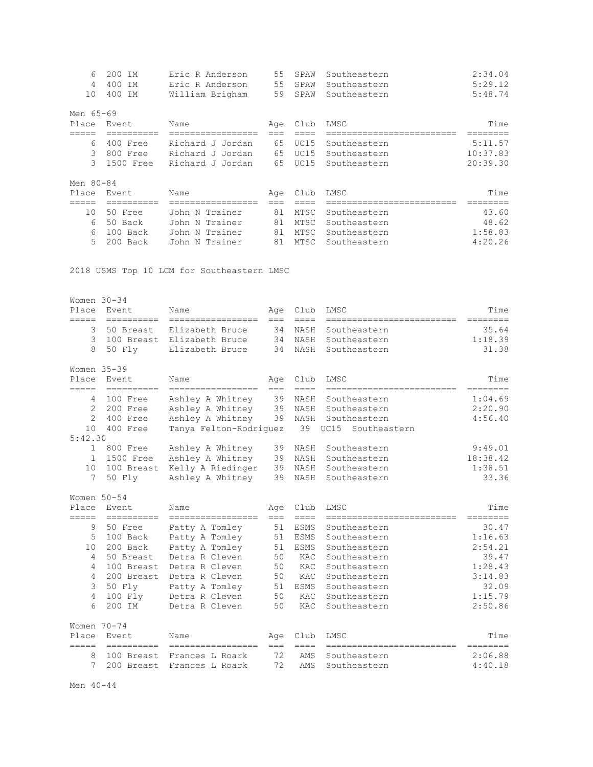| 6         | 200 IM    | Eric R Anderson  | 55  | SPAW | Southeastern | 2:34.04  |
|-----------|-----------|------------------|-----|------|--------------|----------|
| 4         | 400 IM    | Eric R Anderson  | 55  | SPAW | Southeastern | 5:29.12  |
| 10        | 400 IM    | William Brigham  | 59  | SPAW | Southeastern | 5:48.74  |
| Men 65-69 |           |                  |     |      |              |          |
| Place     | Event     | Name             | Age | Club | LMSC         | Time     |
|           |           |                  |     |      |              |          |
| 6         | 400 Free  | Richard J Jordan | 65  | UC15 | Southeastern | 5:11.57  |
| 3         | 800 Free  | Richard J Jordan | 65  | UC15 | Southeastern | 10:37.83 |
| 3         | 1500 Free | Richard J Jordan | 65  | UC15 | Southeastern | 20:39.30 |
| Men 80-84 |           |                  |     |      |              |          |
| Place     | Event     | Name             | Age | Club | LMSC         | Time     |
|           |           |                  |     |      |              |          |
| 10        | 50 Free   | John N Trainer   | 81  | MTSC | Southeastern | 43.60    |
| 6         | 50 Back   | John N Trainer   | 81  | MTSC | Southeastern | 48.62    |
| 6         | 100 Back  | John N Trainer   | 81  | MTSC | Southeastern | 1:58.83  |
| 5         | 200 Back  | John N Trainer   | 81  | MTSC | Southeastern | 4:20.26  |
|           |           |                  |     |      |              |          |

2018 USMS Top 10 LCM for Southeastern LMSC

| Women 30-34<br>Place<br>===== | Event<br>==========                                                                                                                                                                                                                                                                                                                                                                                                                                                                             | Name<br>-----------------           | Age<br>$==$ | Club<br>$=$ $=$ $=$ | LMSC<br>--------------------------        | Time<br>========  |
|-------------------------------|-------------------------------------------------------------------------------------------------------------------------------------------------------------------------------------------------------------------------------------------------------------------------------------------------------------------------------------------------------------------------------------------------------------------------------------------------------------------------------------------------|-------------------------------------|-------------|---------------------|-------------------------------------------|-------------------|
| 3                             | 50 Breast                                                                                                                                                                                                                                                                                                                                                                                                                                                                                       | Elizabeth Bruce                     | 34          | NASH                | Southeastern                              | 35.64             |
| 3                             | 100 Breast                                                                                                                                                                                                                                                                                                                                                                                                                                                                                      | Elizabeth Bruce                     | 34          | NASH                | Southeastern                              | 1:18.39           |
| 8                             | 50 Flv                                                                                                                                                                                                                                                                                                                                                                                                                                                                                          | Elizabeth Bruce                     | 34          | NASH                | Southeastern                              | 31.38             |
| Women 35-39                   |                                                                                                                                                                                                                                                                                                                                                                                                                                                                                                 |                                     |             |                     |                                           |                   |
| Place                         | Event                                                                                                                                                                                                                                                                                                                                                                                                                                                                                           | Name                                | Age         | Club                | LMSC                                      | Time              |
| =====                         | ==========                                                                                                                                                                                                                                                                                                                                                                                                                                                                                      | -----------------                   | $==$        | $====$              | --------------------------                | ========          |
| 4                             | 100 Free                                                                                                                                                                                                                                                                                                                                                                                                                                                                                        | Ashley A Whitney                    | 39          | NASH                | Southeastern                              | 1:04.69           |
| 2                             | 200 Free                                                                                                                                                                                                                                                                                                                                                                                                                                                                                        | Ashley A Whitney                    | 39          | NASH                | Southeastern                              | 2:20.90           |
| 2                             | 400 Free                                                                                                                                                                                                                                                                                                                                                                                                                                                                                        | Ashley A Whitney                    | 39          | NASH                | Southeastern                              | 4:56.40           |
| 10                            | 400 Free                                                                                                                                                                                                                                                                                                                                                                                                                                                                                        | Tanya Felton-Rodriguez              |             | 39                  | UC15<br>Southeastern                      |                   |
| 5:42.30                       |                                                                                                                                                                                                                                                                                                                                                                                                                                                                                                 |                                     |             |                     |                                           |                   |
| $\mathbf 1$                   | 800 Free                                                                                                                                                                                                                                                                                                                                                                                                                                                                                        | Ashley A Whitney                    | 39          | NASH                | Southeastern                              | 9:49.01           |
| $\mathbf{1}$                  | 1500 Free                                                                                                                                                                                                                                                                                                                                                                                                                                                                                       | Ashley A Whitney                    | 39          | NASH                | Southeastern                              | 18:38.42          |
| 10                            | 100 Breast                                                                                                                                                                                                                                                                                                                                                                                                                                                                                      | Kelly A Riedinger                   | 39          | NASH                | Southeastern                              | 1:38.51           |
| 7                             | 50 Fly                                                                                                                                                                                                                                                                                                                                                                                                                                                                                          | Ashley A Whitney                    | 39          | NASH                | Southeastern                              | 33.36             |
| Women $50 - 54$               |                                                                                                                                                                                                                                                                                                                                                                                                                                                                                                 |                                     |             |                     |                                           |                   |
| Place                         | Event.                                                                                                                                                                                                                                                                                                                                                                                                                                                                                          | Name                                | Age         | Club<br>$=$ $=$ $=$ | LMSC                                      | Time              |
| =====<br>9                    | ==========<br>50 Free                                                                                                                                                                                                                                                                                                                                                                                                                                                                           | -----------------<br>Patty A Tomley | $==$<br>51  | <b>ESMS</b>         | -------------------------<br>Southeastern | ========<br>30.47 |
| 5                             | 100 Back                                                                                                                                                                                                                                                                                                                                                                                                                                                                                        | Patty A Tomley                      | 51          | <b>ESMS</b>         | Southeastern                              | 1:16.63           |
| 10                            | 200 Back                                                                                                                                                                                                                                                                                                                                                                                                                                                                                        | Patty A Tomley                      | 51          | ESMS                | Southeastern                              | 2:54.21           |
| 4                             | 50 Breast                                                                                                                                                                                                                                                                                                                                                                                                                                                                                       | Detra R Cleven                      | 50          | KAC                 | Southeastern                              | 39.47             |
| 4                             | 100 Breast                                                                                                                                                                                                                                                                                                                                                                                                                                                                                      | Detra R Cleven                      | 50          | KAC                 | Southeastern                              | 1:28.43           |
| 4                             | 200 Breast                                                                                                                                                                                                                                                                                                                                                                                                                                                                                      | Detra R Cleven                      | 50          | KAC                 | Southeastern                              | 3:14.83           |
| 3                             | 50 Fly                                                                                                                                                                                                                                                                                                                                                                                                                                                                                          | Patty A Tomley                      | 51          | ESMS                | Southeastern                              | 32.09             |
| 4                             | 100 Fly                                                                                                                                                                                                                                                                                                                                                                                                                                                                                         | Detra R Cleven                      | 50          | KAC                 | Southeastern                              | 1:15.79           |
| 6                             | 200 IM                                                                                                                                                                                                                                                                                                                                                                                                                                                                                          | Detra R Cleven                      | 50          | KAC                 | Southeastern                              | 2:50.86           |
| Women $70 - 74$               |                                                                                                                                                                                                                                                                                                                                                                                                                                                                                                 |                                     |             |                     |                                           |                   |
| Place<br>=====                | Event<br>$\begin{array}{cccccccccc} \multicolumn{2}{c}{} & \multicolumn{2}{c}{} & \multicolumn{2}{c}{} & \multicolumn{2}{c}{} & \multicolumn{2}{c}{} & \multicolumn{2}{c}{} & \multicolumn{2}{c}{} & \multicolumn{2}{c}{} & \multicolumn{2}{c}{} & \multicolumn{2}{c}{} & \multicolumn{2}{c}{} & \multicolumn{2}{c}{} & \multicolumn{2}{c}{} & \multicolumn{2}{c}{} & \multicolumn{2}{c}{} & \multicolumn{2}{c}{} & \multicolumn{2}{c}{} & \multicolumn{2}{c}{} & \multicolumn{2}{c}{} & \mult$ | Name<br>=================           | Age<br>$==$ | Club<br>$=$ $=$ $=$ | LMSC<br>================                  | Time<br>========  |
| 8                             | 100 Breast                                                                                                                                                                                                                                                                                                                                                                                                                                                                                      | Frances L Roark                     | 72          | AMS                 | Southeastern                              | 2:06.88           |
| 7                             | 200 Breast                                                                                                                                                                                                                                                                                                                                                                                                                                                                                      | Frances L Roark                     | 72          | AMS                 | Southeastern                              | 4:40.18           |

Men 40-44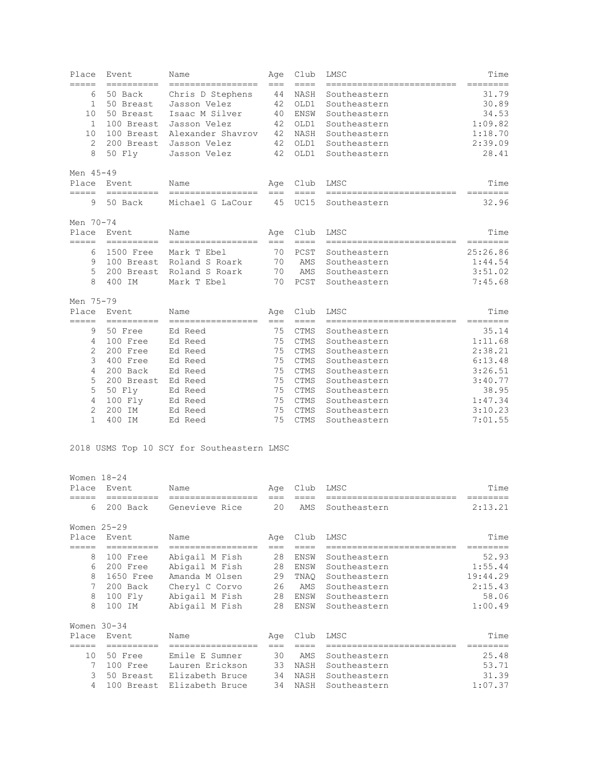| Place          | Event                 | Name                                   | Age         | Club                    | LMSC                                       | Time              |
|----------------|-----------------------|----------------------------------------|-------------|-------------------------|--------------------------------------------|-------------------|
| =====<br>6     | ----------<br>50 Back | -----------------<br>Chris D Stephens  | $===$<br>44 | $=$ $=$ $=$<br>NASH     | ==========================<br>Southeastern | ========<br>31.79 |
| $\mathbf{1}$   | 50 Breast             | Jasson Velez                           | 42          | OLD1                    | Southeastern                               | 30.89             |
| 10             | 50 Breast             | Isaac M Silver                         | 40          | ENSW                    | Southeastern                               | 34.53             |
| 1              | 100 Breast            | Jasson Velez                           | 42          | OLD1                    | Southeastern                               | 1:09.82           |
| 10             | 100 Breast            | Alexander Shavrov                      | 42          | NASH                    | Southeastern                               | 1:18.70           |
| $\overline{2}$ | 200 Breast            | Jasson Velez                           | 42          | OLD1                    | Southeastern                               | 2:39.09           |
| 8              | 50 Fly                | Jasson Velez                           | 42          | OLD1                    | Southeastern                               | 28.41             |
| Men 45-49      |                       |                                        |             |                         |                                            |                   |
| Place          | Event                 | Name                                   | Age         | Club                    | LMSC                                       | Time              |
| =====<br>9     | 50 Back               | ==================<br>Michael G LaCour | $===$<br>45 | $=$ $=$ $=$ $=$<br>UC15 | --------------------------<br>Southeastern | ========<br>32.96 |
| Men 70-74      |                       |                                        |             |                         |                                            |                   |
| Place          | Event                 | Name                                   | Age         | Club                    | LMSC                                       | Time              |
| $=====$        | ==========            | =================                      | $==$        | $==-=$                  | --------------------------                 | ========          |
| 6              | 1500 Free             | Mark T Ebel                            | 70          | PCST                    | Southeastern                               | 25:26.86          |
| 9              | 100 Breast            | Roland S Roark                         | 70          | AMS                     | Southeastern                               | 1:44.54           |
| 5              | 200 Breast            | Roland S Roark                         | 70          | AMS                     | Southeastern                               | 3:51.02           |
| 8              | 400 IM                | Mark T Ebel                            | 70          | PCST                    | Southeastern                               | 7:45.68           |
| Men 75-79      |                       |                                        |             |                         |                                            |                   |
| Place<br>===== | Event<br>----------   | Name<br>-----------------              | Age<br>$==$ | Club<br>$==-=$          | LMSC<br>--------------------------         | Time<br>========  |
| 9              | 50 Free               | Ed Reed                                | 75          | <b>CTMS</b>             | Southeastern                               | 35.14             |
| $\overline{4}$ | 100 Free              | Ed Reed                                | 75          | <b>CTMS</b>             | Southeastern                               | 1:11.68           |
| $\overline{c}$ | 200 Free              | Ed Reed                                | 75          | <b>CTMS</b>             | Southeastern                               | 2:38.21           |
| 3              | 400 Free              | Ed Reed                                | 75          | <b>CTMS</b>             | Southeastern                               | 6:13.48           |
| $\overline{4}$ | 200 Back              | Ed Reed                                | 75          | <b>CTMS</b>             | Southeastern                               | 3:26.51           |
| 5              | 200 Breast            | Ed Reed                                | 75          | <b>CTMS</b>             | Southeastern                               | 3:40.77           |
| 5              | 50 Fly                | Ed Reed                                | 75          | CTMS                    | Southeastern                               | 38.95             |
| $\overline{4}$ | 100 Fly               | Ed Reed                                | 75          | CTMS                    | Southeastern                               | 1:47.34           |
| $\mathbf{2}$   | 200 IM                | Ed Reed                                | 75          | <b>CTMS</b>             | Southeastern                               | 3:10.23           |
| $\mathbf{1}$   | 400 IM                | Ed Reed                                | 75          | <b>CTMS</b>             | Southeastern                               | 7:01.55           |

2018 USMS Top 10 SCY for Southeastern LMSC

| Women 18-24<br>Place | Event                | Name            | Age | Club | LMSC         | Time     |
|----------------------|----------------------|-----------------|-----|------|--------------|----------|
| 6                    | ========<br>200 Back | Genevieve Rice  | 20  | AMS  | Southeastern | 2:13.21  |
| Women 25-29          |                      |                 |     |      |              |          |
| Place                | Event                | Name            | Age | Club | LMSC         | Time     |
|                      | =========            | ==============  |     |      |              |          |
| 8                    | 100 Free             | Abigail M Fish  | 28  | ENSW | Southeastern | 52.93    |
| 6                    | 200 Free             | Abigail M Fish  | 28  | ENSW | Southeastern | 1:55.44  |
| 8                    | 1650 Free            | Amanda M Olsen  | 29  | TNAO | Southeastern | 19:44.29 |
| 7                    | 200 Back             | Cheryl C Corvo  | 26  | AMS  | Southeastern | 2:15.43  |
| 8                    | $100$ $Fly$          | Abigail M Fish  | 28  | ENSW | Southeastern | 58.06    |
| 8                    | 100 IM               | Abigail M Fish  | 28  | ENSW | Southeastern | 1:00.49  |
| Women $30-34$        |                      |                 |     |      |              |          |
| Place                | Event                | Name            | Age | Club | LMSC         | Time     |
|                      | =======              |                 |     |      |              |          |
| 10                   | 50 Free              | Emile E Sumner  | 30  | AMS  | Southeastern | 25.48    |
| 7                    | 100 Free             | Lauren Erickson | 33  | NASH | Southeastern | 53.71    |
| 3                    | 50 Breast            | Elizabeth Bruce | 34  | NASH | Southeastern | 31.39    |
| $\overline{4}$       | 100 Breast           | Elizabeth Bruce | 34  | NASH | Southeastern | 1:07.37  |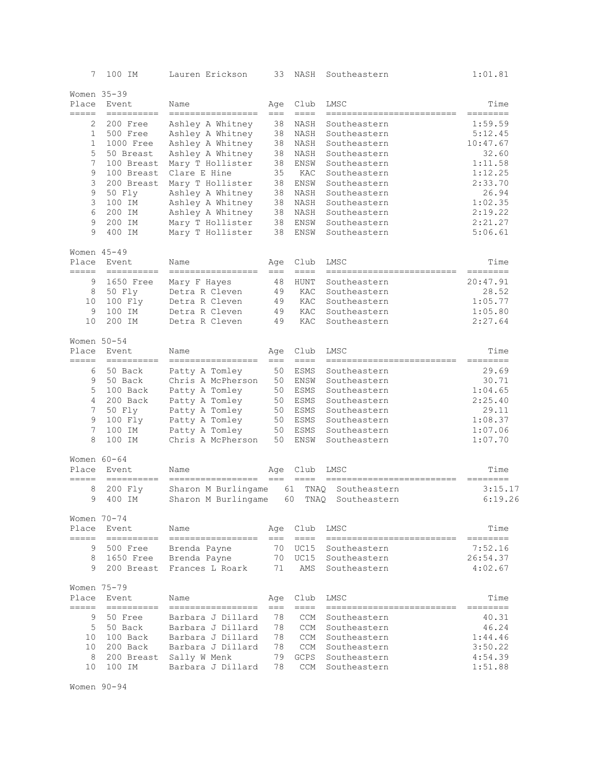| 7                        | 100 IM                                                                                                                                                                                                                                                                                                                                                                                                                                                                                            | Lauren Erickson            | 33           | NASH              | Southeastern                        | 1:01.81          |
|--------------------------|---------------------------------------------------------------------------------------------------------------------------------------------------------------------------------------------------------------------------------------------------------------------------------------------------------------------------------------------------------------------------------------------------------------------------------------------------------------------------------------------------|----------------------------|--------------|-------------------|-------------------------------------|------------------|
| Women 35-39              |                                                                                                                                                                                                                                                                                                                                                                                                                                                                                                   |                            |              |                   |                                     |                  |
| Place<br>$=$ $=$ $=$ $=$ | Event<br>----------                                                                                                                                                                                                                                                                                                                                                                                                                                                                               | Name<br>-----------------  | Age<br>$==$  | Club<br>$== == =$ | LMSC<br>--------------------------  | Time<br>======== |
| 2                        | 200 Free                                                                                                                                                                                                                                                                                                                                                                                                                                                                                          | Ashley A Whitney           | 38           | NASH              | Southeastern                        | 1:59.59          |
| $\mathbf{1}$             | 500 Free                                                                                                                                                                                                                                                                                                                                                                                                                                                                                          | Ashley A Whitney           | 38           | NASH              | Southeastern                        | 5:12.45          |
| $\mathbf{1}$             | 1000 Free                                                                                                                                                                                                                                                                                                                                                                                                                                                                                         | Ashley A Whitney           | 38           | NASH              | Southeastern                        | 10:47.67         |
| 5                        | 50 Breast                                                                                                                                                                                                                                                                                                                                                                                                                                                                                         | Ashley A Whitney           | 38           | NASH              | Southeastern                        | 32.60            |
| 7                        | 100 Breast                                                                                                                                                                                                                                                                                                                                                                                                                                                                                        | Mary T Hollister           | 38           | ENSW              | Southeastern                        | 1:11.58          |
| 9                        | 100 Breast                                                                                                                                                                                                                                                                                                                                                                                                                                                                                        | Clare E Hine               | 35           | KAC               | Southeastern                        | 1:12.25          |
| 3                        | 200 Breast                                                                                                                                                                                                                                                                                                                                                                                                                                                                                        | Mary T Hollister           | 38           | <b>ENSW</b>       | Southeastern                        | 2:33.70          |
| 9                        | 50 Fly                                                                                                                                                                                                                                                                                                                                                                                                                                                                                            | Ashley A Whitney           | 38           | NASH              | Southeastern                        | 26.94            |
| 3                        | 100 IM                                                                                                                                                                                                                                                                                                                                                                                                                                                                                            | Ashley A Whitney           | 38           | NASH              | Southeastern                        | 1:02.35          |
| 6                        | 200 IM                                                                                                                                                                                                                                                                                                                                                                                                                                                                                            | Ashley A Whitney           | 38           | NASH              | Southeastern                        | 2:19.22          |
| 9                        | 200 IM                                                                                                                                                                                                                                                                                                                                                                                                                                                                                            | Mary T Hollister           | 38           | ENSW              | Southeastern                        | 2:21.27          |
| 9                        | 400 IM                                                                                                                                                                                                                                                                                                                                                                                                                                                                                            | Mary T Hollister           | 38           | ENSW              | Southeastern                        | 5:06.61          |
|                          | Women $45 - 49$                                                                                                                                                                                                                                                                                                                                                                                                                                                                                   |                            |              |                   |                                     |                  |
| Place<br>=====           | Event                                                                                                                                                                                                                                                                                                                                                                                                                                                                                             | Name<br>------------------ | Age<br>$===$ | Club<br>$== == =$ | LMSC                                | Time<br>======== |
| 9                        | 1650 Free                                                                                                                                                                                                                                                                                                                                                                                                                                                                                         | Mary F Hayes               | 48           | HUNT              | Southeastern                        | 20:47.91         |
| 8                        | 50 Fly                                                                                                                                                                                                                                                                                                                                                                                                                                                                                            | Detra R Cleven             | 49           | KAC               | Southeastern                        | 28.52            |
| 10                       | 100 Fly                                                                                                                                                                                                                                                                                                                                                                                                                                                                                           | Detra R Cleven             | 49           | KAC               | Southeastern                        | 1:05.77          |
| 9                        | 100 IM                                                                                                                                                                                                                                                                                                                                                                                                                                                                                            | Detra R Cleven             | 49           | KAC               | Southeastern                        | 1:05.80          |
| 10                       | 200 IM                                                                                                                                                                                                                                                                                                                                                                                                                                                                                            | Detra R Cleven             | 49           | KAC               | Southeastern                        | 2:27.64          |
|                          |                                                                                                                                                                                                                                                                                                                                                                                                                                                                                                   |                            |              |                   |                                     |                  |
| Women $50-54$<br>Place   | Event                                                                                                                                                                                                                                                                                                                                                                                                                                                                                             | Name                       | Age          | Club              | LMSC                                | Time             |
| =====                    |                                                                                                                                                                                                                                                                                                                                                                                                                                                                                                   | -----------------          | $==$         | $=$ $=$ $=$       | --------------------------          | ========         |
| 6                        | 50 Back                                                                                                                                                                                                                                                                                                                                                                                                                                                                                           | Patty A Tomley             | 50           | ESMS              | Southeastern                        | 29.69            |
| 9                        | 50 Back                                                                                                                                                                                                                                                                                                                                                                                                                                                                                           | Chris A McPherson          | 50           | ENSW              | Southeastern                        | 30.71            |
| 5                        | 100 Back                                                                                                                                                                                                                                                                                                                                                                                                                                                                                          | Patty A Tomley             | 50           | ESMS              | Southeastern                        | 1:04.65          |
| 4                        | 200 Back                                                                                                                                                                                                                                                                                                                                                                                                                                                                                          | Patty A Tomley             | 50           | ESMS              | Southeastern                        | 2:25.40          |
| 7                        | 50 Fly                                                                                                                                                                                                                                                                                                                                                                                                                                                                                            | Patty A Tomley             | 50           | <b>ESMS</b>       | Southeastern                        | 29.11            |
| 9                        | 100 Fly                                                                                                                                                                                                                                                                                                                                                                                                                                                                                           | Patty A Tomley             | 50           | ESMS              | Southeastern                        | 1:08.37          |
| 7                        | 100 IM                                                                                                                                                                                                                                                                                                                                                                                                                                                                                            | Patty A Tomley             | 50           | ESMS              | Southeastern                        | 1:07.06          |
| 8                        | 100 IM                                                                                                                                                                                                                                                                                                                                                                                                                                                                                            | Chris A McPherson          | 50           | ENSW              | Southeastern                        | 1:07.70          |
| Women $60 - 64$          |                                                                                                                                                                                                                                                                                                                                                                                                                                                                                                   |                            |              |                   |                                     |                  |
| Place<br>$=====$         | Event<br>$\begin{tabular}{ll} \multicolumn{3}{l}{} & \multicolumn{3}{l}{} & \multicolumn{3}{l}{} \\ \multicolumn{3}{l}{} & \multicolumn{3}{l}{} & \multicolumn{3}{l}{} \\ \multicolumn{3}{l}{} & \multicolumn{3}{l}{} & \multicolumn{3}{l}{} \\ \multicolumn{3}{l}{} & \multicolumn{3}{l}{} & \multicolumn{3}{l}{} \\ \multicolumn{3}{l}{} & \multicolumn{3}{l}{} & \multicolumn{3}{l}{} \\ \multicolumn{3}{l}{} & \multicolumn{3}{l}{} & \multicolumn{3}{l}{} \\ \multicolumn{3}{l}{} & \multic$ | Name<br>------------------ | Age<br>$==$  | Club<br>====      | LMSC<br>=========================== | Time<br>======== |
| 8                        | 200 Fly                                                                                                                                                                                                                                                                                                                                                                                                                                                                                           | Sharon M Burlingame        |              | 61<br>TNAO        | Southeastern                        | 3:15.17          |
| 9                        | 400 IM                                                                                                                                                                                                                                                                                                                                                                                                                                                                                            | Sharon M Burlingame        |              | 60<br>TNAQ        | Southeastern                        | 6:19.26          |
|                          |                                                                                                                                                                                                                                                                                                                                                                                                                                                                                                   |                            |              |                   |                                     |                  |
| Place                    | Women 70-74<br>Event                                                                                                                                                                                                                                                                                                                                                                                                                                                                              | Name                       | Age          | Club              | LMSC                                | Time             |
| $=====$                  | ----------                                                                                                                                                                                                                                                                                                                                                                                                                                                                                        | -----------------          | $==$         | $== == =$         | =========================           | --------         |
| 9                        | 500 Free                                                                                                                                                                                                                                                                                                                                                                                                                                                                                          | Brenda Payne               | 70           | UC15              | Southeastern                        | 7:52.16          |
| 8                        | 1650 Free                                                                                                                                                                                                                                                                                                                                                                                                                                                                                         | Brenda Payne               | 70           | UC15              | Southeastern                        | 26:54.37         |
| 9                        | 200 Breast                                                                                                                                                                                                                                                                                                                                                                                                                                                                                        | Frances L Roark            | 71           | AMS               | Southeastern                        | 4:02.67          |
|                          |                                                                                                                                                                                                                                                                                                                                                                                                                                                                                                   |                            |              |                   |                                     |                  |
| Place                    | Women 75-79<br>Event                                                                                                                                                                                                                                                                                                                                                                                                                                                                              | Name                       |              | Club              |                                     | Time             |
| =====                    | ==========                                                                                                                                                                                                                                                                                                                                                                                                                                                                                        | ------------------         | Age<br>$==$  | $== == =$         | LMSC<br>==========================  | ========         |
| 9                        | 50 Free                                                                                                                                                                                                                                                                                                                                                                                                                                                                                           | Barbara J Dillard          | 78           | <b>CCM</b>        | Southeastern                        | 40.31            |
| 5                        | 50 Back                                                                                                                                                                                                                                                                                                                                                                                                                                                                                           | Barbara J Dillard          | 78           |                   | CCM Southeastern                    | 46.24            |
| 10                       | 100 Back                                                                                                                                                                                                                                                                                                                                                                                                                                                                                          | Barbara J Dillard          | 78           | CCM               | Southeastern                        | 1:44.46          |
| 10                       | 200 Back                                                                                                                                                                                                                                                                                                                                                                                                                                                                                          | Barbara J Dillard          | 78           | CCM               | Southeastern                        | 3:50.22          |
| 8                        | 200 Breast                                                                                                                                                                                                                                                                                                                                                                                                                                                                                        | Sally W Menk               | 79           | <b>GCPS</b>       | Southeastern                        | 4:54.39          |
| 10                       | 100 IM                                                                                                                                                                                                                                                                                                                                                                                                                                                                                            | Barbara J Dillard          | 78           | CCM               | Southeastern                        | 1:51.88          |
|                          |                                                                                                                                                                                                                                                                                                                                                                                                                                                                                                   |                            |              |                   |                                     |                  |

Women 90-94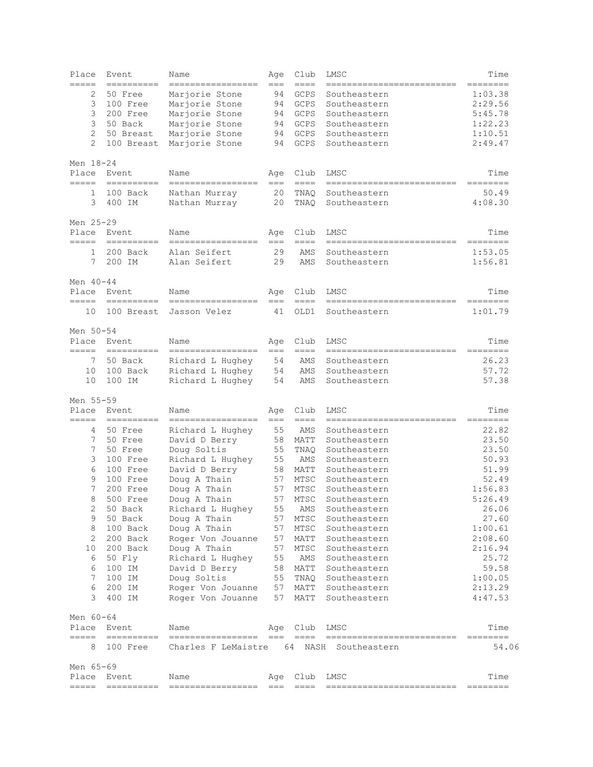| Place<br>=====     | Event                                                                                                                                                                                                                                                                                                                                                                                                                                                                                           | Name                                     | Age          | Club              | LMSC<br>-----------------------                 | Time                                                                                                                                                                                                                                                                                                                                                                                                                                                                                           |
|--------------------|-------------------------------------------------------------------------------------------------------------------------------------------------------------------------------------------------------------------------------------------------------------------------------------------------------------------------------------------------------------------------------------------------------------------------------------------------------------------------------------------------|------------------------------------------|--------------|-------------------|-------------------------------------------------|------------------------------------------------------------------------------------------------------------------------------------------------------------------------------------------------------------------------------------------------------------------------------------------------------------------------------------------------------------------------------------------------------------------------------------------------------------------------------------------------|
| 2                  | ==========<br>50 Free                                                                                                                                                                                                                                                                                                                                                                                                                                                                           | =================                        | $===$        | ====              |                                                 | ========<br>1:03.38                                                                                                                                                                                                                                                                                                                                                                                                                                                                            |
|                    |                                                                                                                                                                                                                                                                                                                                                                                                                                                                                                 | Marjorie Stone                           | 94           | GCPS              | Southeastern                                    |                                                                                                                                                                                                                                                                                                                                                                                                                                                                                                |
| 3                  | 100 Free                                                                                                                                                                                                                                                                                                                                                                                                                                                                                        | Marjorie Stone                           | 94           | GCPS              | Southeastern                                    | 2:29.56                                                                                                                                                                                                                                                                                                                                                                                                                                                                                        |
| 3                  | 200 Free                                                                                                                                                                                                                                                                                                                                                                                                                                                                                        | Marjorie Stone                           | 94           | GCPS              | Southeastern                                    | 5:45.78                                                                                                                                                                                                                                                                                                                                                                                                                                                                                        |
| 3                  | 50 Back                                                                                                                                                                                                                                                                                                                                                                                                                                                                                         | Marjorie Stone                           | 94           | GCPS              | Southeastern                                    | 1:22.23                                                                                                                                                                                                                                                                                                                                                                                                                                                                                        |
| $\overline{2}$     | 50 Breast                                                                                                                                                                                                                                                                                                                                                                                                                                                                                       | Marjorie Stone                           | 94           | GCPS              | Southeastern                                    | 1:10.51                                                                                                                                                                                                                                                                                                                                                                                                                                                                                        |
| $\overline{2}$     | 100 Breast                                                                                                                                                                                                                                                                                                                                                                                                                                                                                      | Marjorie Stone                           | 94           | GCPS              | Southeastern                                    | 2:49.47                                                                                                                                                                                                                                                                                                                                                                                                                                                                                        |
| Men 18-24          |                                                                                                                                                                                                                                                                                                                                                                                                                                                                                                 |                                          |              |                   |                                                 |                                                                                                                                                                                                                                                                                                                                                                                                                                                                                                |
| Place<br>=====     | Event                                                                                                                                                                                                                                                                                                                                                                                                                                                                                           | Name<br>=================                | Age<br>$===$ | Club<br>$== ==$   | LMSC<br>=========================               | Time<br>$\begin{array}{cccccccccc} \multicolumn{3}{c}{} & \multicolumn{3}{c}{} & \multicolumn{3}{c}{} & \multicolumn{3}{c}{} & \multicolumn{3}{c}{} & \multicolumn{3}{c}{} & \multicolumn{3}{c}{} & \multicolumn{3}{c}{} & \multicolumn{3}{c}{} & \multicolumn{3}{c}{} & \multicolumn{3}{c}{} & \multicolumn{3}{c}{} & \multicolumn{3}{c}{} & \multicolumn{3}{c}{} & \multicolumn{3}{c}{} & \multicolumn{3}{c}{} & \multicolumn{3}{c}{} & \multicolumn{3}{c}{} & \multicolumn{3}{c}{} & \mult$ |
| 1                  | 100 Back                                                                                                                                                                                                                                                                                                                                                                                                                                                                                        | Nathan Murray                            | 20           | TNAO              | Southeastern                                    | 50.49                                                                                                                                                                                                                                                                                                                                                                                                                                                                                          |
| 3                  | 400 IM                                                                                                                                                                                                                                                                                                                                                                                                                                                                                          | Nathan Murray                            | 20           | TNAQ              | Southeastern                                    | 4:08.30                                                                                                                                                                                                                                                                                                                                                                                                                                                                                        |
| Men 25-29          |                                                                                                                                                                                                                                                                                                                                                                                                                                                                                                 |                                          |              |                   |                                                 |                                                                                                                                                                                                                                                                                                                                                                                                                                                                                                |
| Place<br>=====     | Event<br>$\begin{array}{cccccccccc} \multicolumn{2}{c}{} & \multicolumn{2}{c}{} & \multicolumn{2}{c}{} & \multicolumn{2}{c}{} & \multicolumn{2}{c}{} & \multicolumn{2}{c}{} & \multicolumn{2}{c}{} & \multicolumn{2}{c}{} & \multicolumn{2}{c}{} & \multicolumn{2}{c}{} & \multicolumn{2}{c}{} & \multicolumn{2}{c}{} & \multicolumn{2}{c}{} & \multicolumn{2}{c}{} & \multicolumn{2}{c}{} & \multicolumn{2}{c}{} & \multicolumn{2}{c}{} & \multicolumn{2}{c}{} & \multicolumn{2}{c}{} & \mult$ | Name<br>-----------------                | Age<br>$===$ | Club<br>$== == =$ | LMSC<br>--------------------------              | Time<br>========                                                                                                                                                                                                                                                                                                                                                                                                                                                                               |
| 1                  | 200 Back                                                                                                                                                                                                                                                                                                                                                                                                                                                                                        | Alan Seifert                             | 29           | AMS               | Southeastern                                    | 1:53.05                                                                                                                                                                                                                                                                                                                                                                                                                                                                                        |
| 7                  | 200 IM                                                                                                                                                                                                                                                                                                                                                                                                                                                                                          | Alan Seifert                             | 29           | AMS               | Southeastern                                    | 1:56.81                                                                                                                                                                                                                                                                                                                                                                                                                                                                                        |
| Men $40 - 44$      |                                                                                                                                                                                                                                                                                                                                                                                                                                                                                                 |                                          |              |                   |                                                 |                                                                                                                                                                                                                                                                                                                                                                                                                                                                                                |
| Place<br>=====     | Event                                                                                                                                                                                                                                                                                                                                                                                                                                                                                           | Name                                     | Age          | Club<br>====      | LMSC<br>===========================             | Time<br>========                                                                                                                                                                                                                                                                                                                                                                                                                                                                               |
| 10                 | 100 Breast                                                                                                                                                                                                                                                                                                                                                                                                                                                                                      | =================<br>Jasson Velez        | $==$<br>41   | OLD1              | Southeastern                                    | 1:01.79                                                                                                                                                                                                                                                                                                                                                                                                                                                                                        |
|                    |                                                                                                                                                                                                                                                                                                                                                                                                                                                                                                 |                                          |              |                   |                                                 |                                                                                                                                                                                                                                                                                                                                                                                                                                                                                                |
| Men 50-54<br>Place | Event                                                                                                                                                                                                                                                                                                                                                                                                                                                                                           | Name                                     | Age          | Club              | LMSC                                            | Time                                                                                                                                                                                                                                                                                                                                                                                                                                                                                           |
| $=====$            |                                                                                                                                                                                                                                                                                                                                                                                                                                                                                                 | -----------------                        | $===$        | $== == =$         | ==========================                      | ========                                                                                                                                                                                                                                                                                                                                                                                                                                                                                       |
| 7                  | 50 Back                                                                                                                                                                                                                                                                                                                                                                                                                                                                                         | Richard L Hughey                         | 54           | AMS               | Southeastern                                    | 26.23                                                                                                                                                                                                                                                                                                                                                                                                                                                                                          |
| 10                 | 100 Back                                                                                                                                                                                                                                                                                                                                                                                                                                                                                        | Richard L Hughey                         | 54           | AMS               | Southeastern                                    | 57.72                                                                                                                                                                                                                                                                                                                                                                                                                                                                                          |
| 10                 | 100 IM                                                                                                                                                                                                                                                                                                                                                                                                                                                                                          | Richard L Hughey                         | 54           | AMS               | Southeastern                                    | 57.38                                                                                                                                                                                                                                                                                                                                                                                                                                                                                          |
| Men 55-59          |                                                                                                                                                                                                                                                                                                                                                                                                                                                                                                 |                                          |              |                   |                                                 |                                                                                                                                                                                                                                                                                                                                                                                                                                                                                                |
| Place              | Event                                                                                                                                                                                                                                                                                                                                                                                                                                                                                           | Name                                     | Age          | Club              | LMSC                                            | Time                                                                                                                                                                                                                                                                                                                                                                                                                                                                                           |
| =====              | $=$ =========                                                                                                                                                                                                                                                                                                                                                                                                                                                                                   | -----------------                        | $==$         | $== ==$           | --------------------------                      | ========                                                                                                                                                                                                                                                                                                                                                                                                                                                                                       |
| 4                  | 50 Free                                                                                                                                                                                                                                                                                                                                                                                                                                                                                         | Richard L Hughey                         | 55           | AMS               | Southeastern                                    | 22.82                                                                                                                                                                                                                                                                                                                                                                                                                                                                                          |
| 7                  | 50 Free                                                                                                                                                                                                                                                                                                                                                                                                                                                                                         | David D Berry                            | 58           | MATT              | Southeastern                                    | 23.50                                                                                                                                                                                                                                                                                                                                                                                                                                                                                          |
| 7                  | 50 Free                                                                                                                                                                                                                                                                                                                                                                                                                                                                                         | Doug Soltis                              | 55           | TNAQ              | Southeastern                                    | 23.50                                                                                                                                                                                                                                                                                                                                                                                                                                                                                          |
| 3                  | 100 Free                                                                                                                                                                                                                                                                                                                                                                                                                                                                                        | Richard L Hughey                         | 55           | AMS               | Southeastern                                    | 50.93                                                                                                                                                                                                                                                                                                                                                                                                                                                                                          |
| 6                  | 100 Free                                                                                                                                                                                                                                                                                                                                                                                                                                                                                        | David D Berry                            | 58           | MATT              | Southeastern                                    | 51.99                                                                                                                                                                                                                                                                                                                                                                                                                                                                                          |
| 9                  | 100 Free                                                                                                                                                                                                                                                                                                                                                                                                                                                                                        | Doug A Thain                             | 57           | MTSC              | Southeastern                                    | 52.49                                                                                                                                                                                                                                                                                                                                                                                                                                                                                          |
| 7                  | 200 Free                                                                                                                                                                                                                                                                                                                                                                                                                                                                                        | Doug A Thain                             | 57           | MTSC              | Southeastern                                    | 1:56.83                                                                                                                                                                                                                                                                                                                                                                                                                                                                                        |
| 8                  | 500 Free                                                                                                                                                                                                                                                                                                                                                                                                                                                                                        | Doug A Thain                             | 57           | MTSC              | Southeastern                                    | 5:26.49                                                                                                                                                                                                                                                                                                                                                                                                                                                                                        |
| 2                  | 50 Back                                                                                                                                                                                                                                                                                                                                                                                                                                                                                         | Richard L Hughey                         | 55           | AMS               | Southeastern                                    | 26.06                                                                                                                                                                                                                                                                                                                                                                                                                                                                                          |
| 9                  | 50 Back                                                                                                                                                                                                                                                                                                                                                                                                                                                                                         | Doug A Thain                             | 57           | MTSC              | Southeastern                                    | 27.60                                                                                                                                                                                                                                                                                                                                                                                                                                                                                          |
| 8                  | 100 Back                                                                                                                                                                                                                                                                                                                                                                                                                                                                                        | Doug A Thain                             | 57           | MTSC              | Southeastern                                    | 1:00.61                                                                                                                                                                                                                                                                                                                                                                                                                                                                                        |
| 2                  | 200 Back                                                                                                                                                                                                                                                                                                                                                                                                                                                                                        | Roger Von Jouanne                        | 57           | MATT              | Southeastern                                    | 2:08.60                                                                                                                                                                                                                                                                                                                                                                                                                                                                                        |
| 10                 | 200 Back                                                                                                                                                                                                                                                                                                                                                                                                                                                                                        | Doug A Thain                             | 57           | MTSC              | Southeastern                                    | 2:16.94                                                                                                                                                                                                                                                                                                                                                                                                                                                                                        |
| 6                  | 50 Fly                                                                                                                                                                                                                                                                                                                                                                                                                                                                                          | Richard L Hughey                         | 55           | AMS               | Southeastern                                    | 25.72                                                                                                                                                                                                                                                                                                                                                                                                                                                                                          |
| 6                  | 100 IM                                                                                                                                                                                                                                                                                                                                                                                                                                                                                          | David D Berry                            | 58           | MATT              | Southeastern                                    | 59.58                                                                                                                                                                                                                                                                                                                                                                                                                                                                                          |
| 7                  | 100 IM                                                                                                                                                                                                                                                                                                                                                                                                                                                                                          | Doug Soltis                              | 55           | TNAQ              | Southeastern                                    | 1:00.05                                                                                                                                                                                                                                                                                                                                                                                                                                                                                        |
| 6                  | 200 IM                                                                                                                                                                                                                                                                                                                                                                                                                                                                                          | Roger Von Jouanne                        | 57           | MATT              | Southeastern                                    | 2:13.29                                                                                                                                                                                                                                                                                                                                                                                                                                                                                        |
| 3                  | 400 IM                                                                                                                                                                                                                                                                                                                                                                                                                                                                                          | Roger Von Jouanne                        | 57           | MATT              | Southeastern                                    | 4:47.53                                                                                                                                                                                                                                                                                                                                                                                                                                                                                        |
| Men 60-64          |                                                                                                                                                                                                                                                                                                                                                                                                                                                                                                 |                                          |              |                   |                                                 |                                                                                                                                                                                                                                                                                                                                                                                                                                                                                                |
| Place<br>=====     | Event                                                                                                                                                                                                                                                                                                                                                                                                                                                                                           | Name                                     | Age          | Club              | LMSC                                            | Time                                                                                                                                                                                                                                                                                                                                                                                                                                                                                           |
| 8                  | 100 Free                                                                                                                                                                                                                                                                                                                                                                                                                                                                                        | =================<br>Charles F LeMaistre | $== =$       | $====$<br>64      | ==========================<br>NASH Southeastern | 54.06                                                                                                                                                                                                                                                                                                                                                                                                                                                                                          |
| Men 65-69          |                                                                                                                                                                                                                                                                                                                                                                                                                                                                                                 |                                          |              |                   |                                                 |                                                                                                                                                                                                                                                                                                                                                                                                                                                                                                |
| Place              | Event                                                                                                                                                                                                                                                                                                                                                                                                                                                                                           | Name                                     | Age          | Club              | LMSC                                            | Time                                                                                                                                                                                                                                                                                                                                                                                                                                                                                           |
| =====              | ==========                                                                                                                                                                                                                                                                                                                                                                                                                                                                                      | =================                        | $== =$       | $== == =$         | --------------------------                      |                                                                                                                                                                                                                                                                                                                                                                                                                                                                                                |